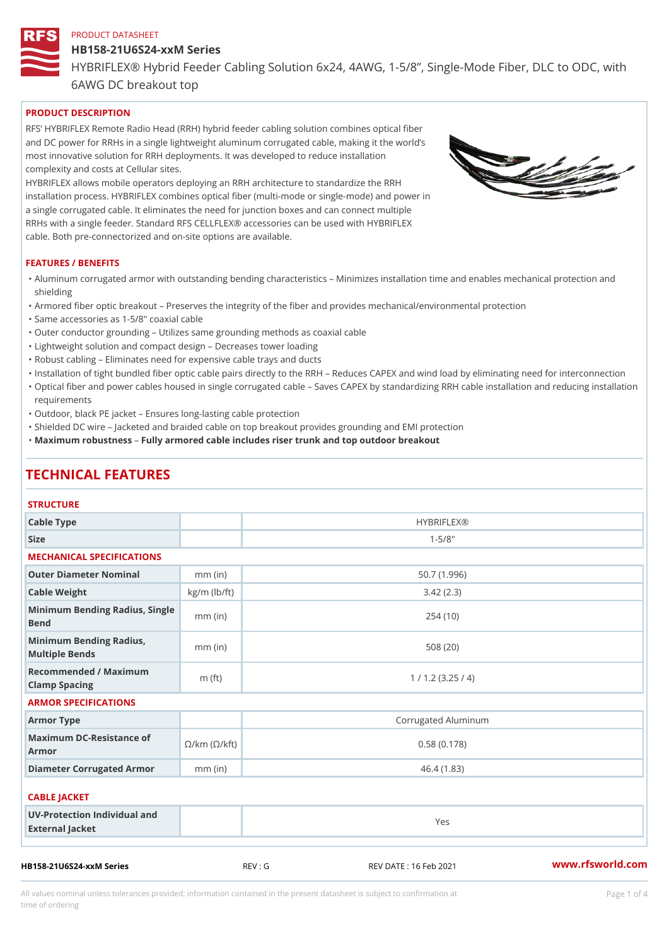# HB158-21U6S24-xxM Series

HYBRIFLEX® Hybrid Feeder Cabling Solution 6x24, 4AWG, 1-5/8, Sing

6AWG DC breakout top

# PRODUCT DESCRIPTION

RFS HYBRIFLEX Remote Radio Head (RRH) hybrid feeder cabling solution combines optical fibe and DC power for RRHs in a single lightweight aluminum corrugated cable, making it the world s most innovative solution for RRH deployments. It was developed to reduce installation complexity and costs at Cellular sites.

HYBRIFLEX allows mobile operators deploying an RRH architecture to standardize the RRH installation process. HYBRIFLEX combines optical fiber (multi-mode or single-mode) and power in a single corrugated cable. It eliminates the need for junction boxes and can connect multiple RRHs with a single feeder. Standard RFS CELLFLEX® accessories can be used with HYBRIFLEX cable. Both pre-connectorized and on-site options are available.

### FEATURES / BENEFITS

- "Aluminum corrugated armor with outstanding bending characteristics Minimizes installation time a shielding
- "Armored fiber optic breakout Preserves the integrity of the fiber and provides mechanical/enviror
- "Same accessories as 1-5/8" coaxial cable
- "Outer conductor grounding Utilizes same grounding methods as coaxial cable
- "Lightweight solution and compact design Decreases tower loading
- "Robust cabling Eliminates need for expensive cable trays and ducts
- "Installation of tight bundled fiber optic cable pairs directly to the RRH Reduces CAPEX and wind "Optical fiber and power cables housed in single corrugated cable  $\,$  Saves CAPEX by standardiz $\,$ ng  $\,$ requirements
- "Outdoor, black PE jacket Ensures long-lasting cable protection
- "Shielded DC wire Jacketed and braided cable on top breakout provides grounding and EMI protec "Maximum robustnessly armored cable includes riser trunk and top outdoor breakout

# TECHNICAL FEATURES

#### **STRUCTURE**

| Cable Type                                                             |                    | <b>HYBRIFLEX®</b>   |  |  |  |  |
|------------------------------------------------------------------------|--------------------|---------------------|--|--|--|--|
| Size                                                                   |                    | $1 - 5/8$ "         |  |  |  |  |
| MECHANICAL SPECIFICATIONS                                              |                    |                     |  |  |  |  |
| Outer Diameter Nominal                                                 | $mm$ (in)          | 50.7(1.996)         |  |  |  |  |
| Cable Weight                                                           | $kg/m$ ( $lb/ft$ ) | 3.42(2.3)           |  |  |  |  |
| Minimum Bending Radius, Single<br>Bend                                 |                    | 254(10)             |  |  |  |  |
| Minimum Bending Radius, mm (in)<br>Multiple Bends                      |                    | 508(20)             |  |  |  |  |
| Recommended / Maximum<br>Clamp Spacing                                 | $m$ (ft)           | 1 / 1.2 (3.25 / 4)  |  |  |  |  |
| ARMOR SPECIFICATIONS                                                   |                    |                     |  |  |  |  |
| Armor Type                                                             |                    | Corrugated Aluminum |  |  |  |  |
| Maximum DC-Resistance $\mathcal{Q}^f$ km ( $\mathbb{O}/k$ ft)<br>Armor |                    | 0.58(0.178)         |  |  |  |  |
| Diameter Corrugated Armomm (in)                                        |                    | 46.4(1.83)          |  |  |  |  |
| CABLE JACKET                                                           |                    |                     |  |  |  |  |
| UV-Protection Individual and<br>External Jacket                        |                    | Yes                 |  |  |  |  |

All values nominal unless tolerances provided; information contained in the present datasheet is subject to Pcapgeligim attio time of ordering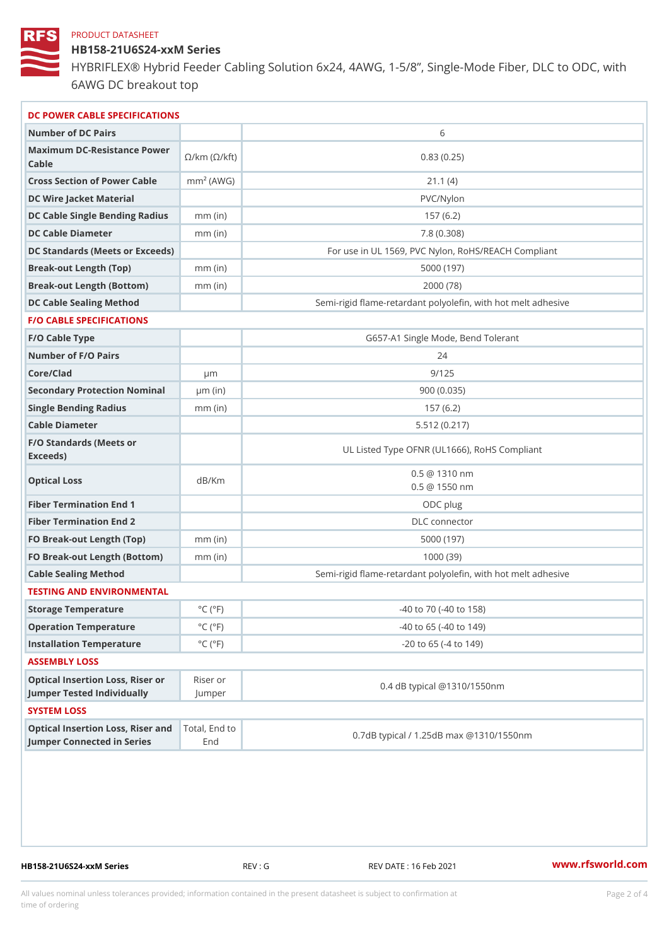HB158-21U6S24-xxM Series

HYBRIFLEX® Hybrid Feeder Cabling Solution 6x24, 4AWG, 1-5/8, Sing 6AWG DC breakout top

| DC POWER CABLE SPECIFICATIONS                                            |                               |                                                          |  |
|--------------------------------------------------------------------------|-------------------------------|----------------------------------------------------------|--|
| Number of DC Pairs                                                       |                               | 6                                                        |  |
| Maximum DC-Resistance Power<br>C/km (©/km (©/kft)<br>$C$ able            |                               | 0.83(0.25)                                               |  |
| Cross Section of Power Cnamb Pe (A W G)                                  |                               | 21.1(4)                                                  |  |
| DC Wire Jacket Material                                                  |                               | PVC/Nylon                                                |  |
| DC Cable Single Bending Rmandi(uish)                                     |                               | 157(6.2)                                                 |  |
| DC Cable Diameter                                                        | $mm$ (in)                     | 7.8(0.308)                                               |  |
| DC Standards (Meets or Exceeds)                                          |                               | For use in UL 1569, PVC Nylon, RoHS/REACH Compli         |  |
| Break-out Length (Top)                                                   | $mm$ (in)                     | 5000 (197)                                               |  |
| Break-out Length (Bottcm)mm (in)                                         |                               | 2000 (78)                                                |  |
| DC Cable Sealing Method                                                  |                               | Semi-rigid flame-retardant polyolefin, with hot melt adl |  |
| <b>F/O CABLE SPECIFICATIONS</b>                                          |                               |                                                          |  |
| F/O Cable Type                                                           |                               | G657-A1 Single Mode, Bend Tolerant                       |  |
| Number of F/O Pairs                                                      |                               | 24                                                       |  |
| Core/Clad                                                                | μm                            | 9/125                                                    |  |
| Secondary Protection Nominal(in)                                         |                               | 900(0.035)                                               |  |
| Single Bending Radius                                                    | $mm$ (in)                     | 157(6.2)                                                 |  |
| Cable Diameter                                                           |                               | 5.512(0.217)                                             |  |
| F/O Standards (Meets or<br>Exceeds)                                      |                               | UL Listed Type OFNR (UL1666), RoHS Compliant             |  |
| Optical Loss                                                             | dB/Km                         | $0.5 \ @ \ 1310 \ nm$<br>$0.5 \t@ 1550 nm$               |  |
| Fiber Termination End                                                    |                               | ODC plug                                                 |  |
| Fiber Termination End 2                                                  |                               | DLC connector                                            |  |
| FO Break-out Length (Top)mm (in)                                         |                               | 5000 (197)                                               |  |
| FO Break-out Length (Bottmomm) (in)                                      |                               | 1000(39)                                                 |  |
| Cable Sealing Method                                                     |                               | Semi-rigid flame-retardant polyolefin, with hot melt adl |  |
| TESTING AND ENVIRONMENTAL                                                |                               |                                                          |  |
| Storage Temperature                                                      | $^{\circ}$ C ( $^{\circ}$ F   | -40 to 70 (-40 to 158)                                   |  |
| Operation Temperature                                                    | $^{\circ}$ C ( $^{\circ}$ F   | $-40$ to 65 ( $-40$ to 149)                              |  |
| Installation Temperature                                                 | $^{\circ}$ C ( $^{\circ}$ F   | $-20$ to 65 ( $-4$ to 149)                               |  |
| ASSEMBLY LOSS                                                            |                               |                                                          |  |
| Optical Insertion Loss, Rikes ear or<br>Jumper Tested IndividuallyJumper |                               | 0.4 dB typical @1310/1550nm                              |  |
| SYSTEM LOSS                                                              |                               |                                                          |  |
| Optical Insertion Loss, Risterl, a End d to                              | Jumper Connected in SeriesEnd | 0.7dB typical / 1.25dB max @1310/1550nm                  |  |

HB158-21U6S24-xxM Series REV : G REV DATE : 16 Feb 2021 WWW.rfsworld.com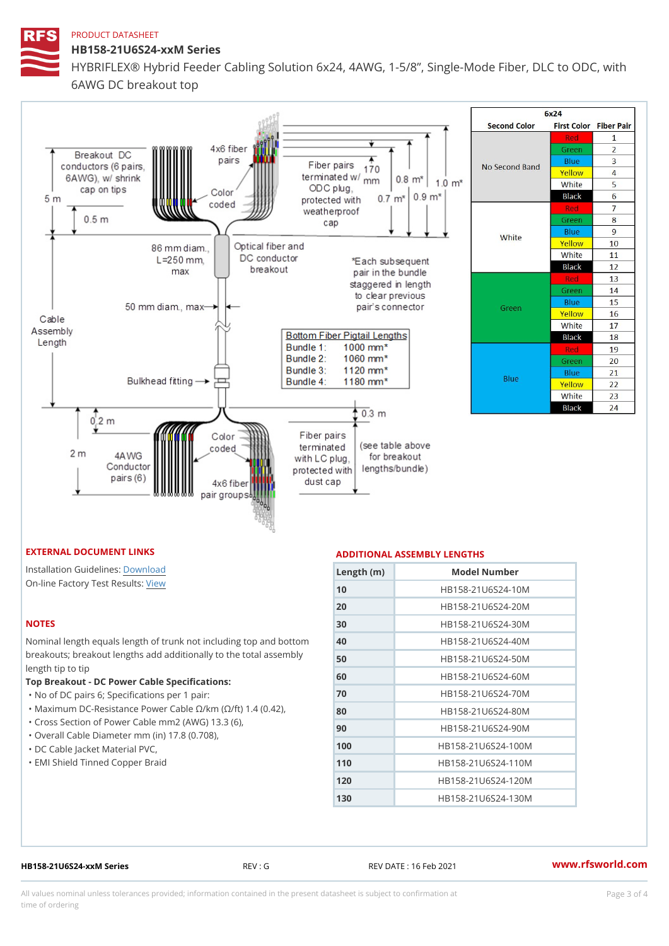HB158-21U6S24-xxM Series

HYBRIFLEX® Hybrid Feeder Cabling Solution 6x24, 4AWG, 1-5/8, Sing 6AWG DC breakout top

#### EXTERNAL DOCUMENT LINKS

Installation Guidelwinessad On-line Factory Te[s](https://www.rfsworld.com/pictures/userfiles/programs/AAST Latest Version.zip)teResults:

### NOTES

Nominal length equals length of trunk not includ breakouts; breakout lengths add additionally to length tip to tip

Top Breakout - DC Power Cable Specifications: "No of DC pairs 6; Specifications per 1 pair: "Maximum DC-Resistance Power Cable !&/km (!&/ "Cross Section of Power Cable mm2 (AWG) 13.3

"Overall Cable Diameter mm (in) 17.8 (0.708),

- "DC Cable Jacket Material PVC,
- "EMI Shield Tinned Copper Braid

# ADDITIONAL ASSEMBLY LENGTHS

| $L$ ength ( $\ln$ ) |      | Model Number               |
|---------------------|------|----------------------------|
| 10                  |      | HB158-21U6S24-10M          |
| 20                  |      | HB158-21U6S24-20M          |
| 30                  |      | HB158-21U6S24-30M          |
| 40                  |      | nd bottoHmB158-21U6S24-40M |
| 50                  |      | assemb WB158-21U6S24-50M   |
| 60                  |      | HB158-21U6S24-60M          |
| 70                  |      | HB158-21U6S24-70M          |
| 80                  | 42), | HB158-21U6S24-80M          |
| 90                  |      | HB158-21U6S24-90M          |
| 100                 |      | HB158-21U6S24-100M         |
| 110                 |      | HB158-21U6S24-110M         |
| 120                 |      | HB158-21U6S24-120M         |
| 130                 |      | HB158-21U6S24-130M         |

HB158-21U6S24-xxM Series REV : G REV DATE : 16 Feb 2021 [www.](https://www.rfsworld.com)rfsworld.com

All values nominal unless tolerances provided; information contained in the present datasheet is subject to Pcapgeling that i time of ordering